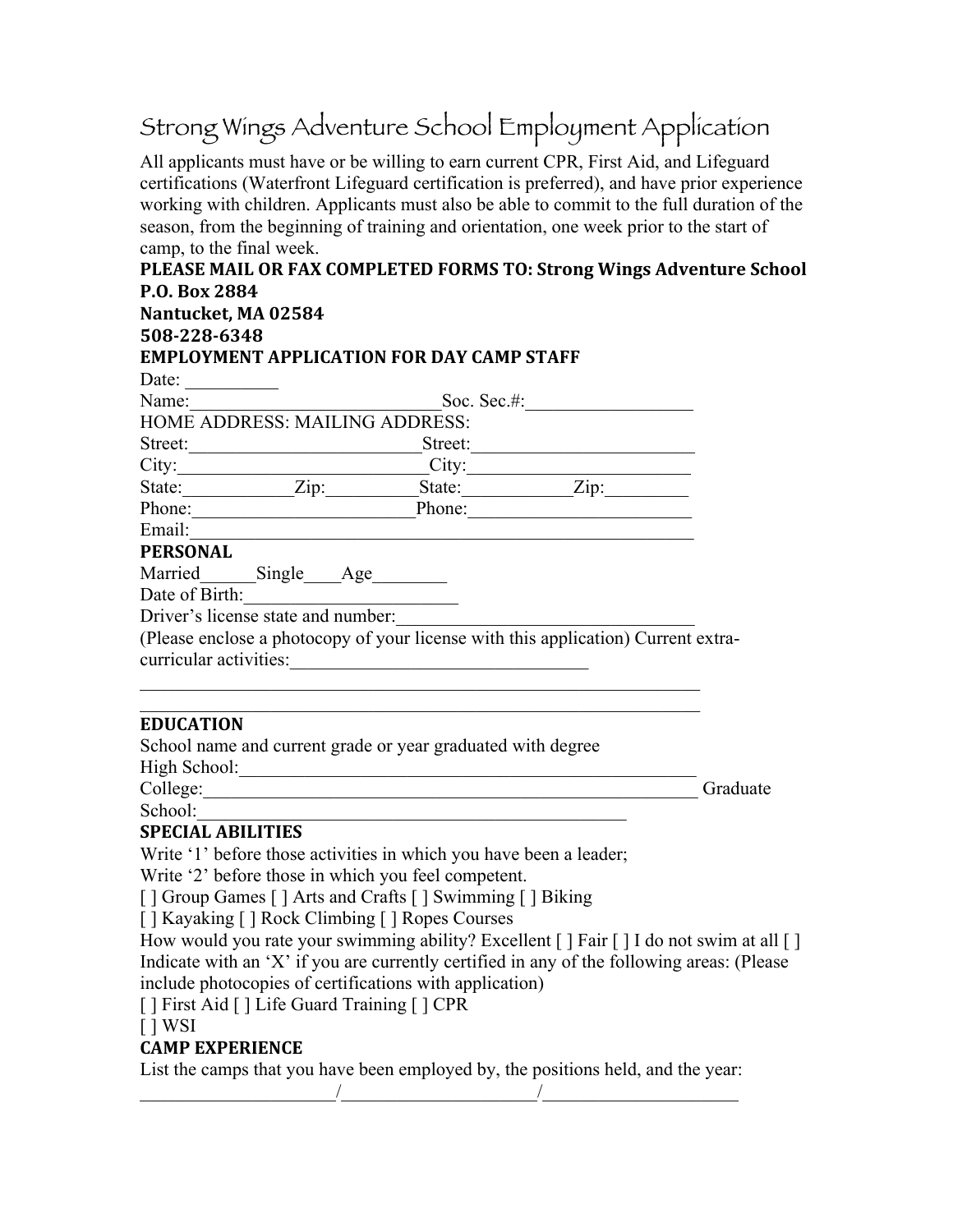## Strong Wings Adventure School Employment Application

All applicants must have or be willing to earn current CPR, First Aid, and Lifeguard certifications (Waterfront Lifeguard certification is preferred), and have prior experience working with children. Applicants must also be able to commit to the full duration of the season, from the beginning of training and orientation, one week prior to the start of camp, to the final week.

| PLEASE MAIL OR FAX COMPLETED FORMS TO: Strong Wings Adventure School                                                                      |                                                                                                                       |          |
|-------------------------------------------------------------------------------------------------------------------------------------------|-----------------------------------------------------------------------------------------------------------------------|----------|
| P.O. Box 2884                                                                                                                             |                                                                                                                       |          |
| Nantucket, MA 02584                                                                                                                       |                                                                                                                       |          |
| 508-228-6348                                                                                                                              |                                                                                                                       |          |
| <b>EMPLOYMENT APPLICATION FOR DAY CAMP STAFF</b>                                                                                          |                                                                                                                       |          |
| Date:                                                                                                                                     |                                                                                                                       |          |
| Name: Soc. Sec.#:                                                                                                                         |                                                                                                                       |          |
| <b>HOME ADDRESS: MAILING ADDRESS:</b>                                                                                                     |                                                                                                                       |          |
| Street: Street: Street: Street:                                                                                                           |                                                                                                                       |          |
|                                                                                                                                           |                                                                                                                       |          |
|                                                                                                                                           |                                                                                                                       |          |
|                                                                                                                                           |                                                                                                                       |          |
|                                                                                                                                           |                                                                                                                       |          |
| PERSONAL                                                                                                                                  |                                                                                                                       |          |
| Married______Single____Age_______                                                                                                         |                                                                                                                       |          |
| Date of Birth:<br>Driver's license state and number:<br>(Please enclose a photocopy of your license with this application) Current extra- |                                                                                                                       |          |
|                                                                                                                                           |                                                                                                                       |          |
|                                                                                                                                           |                                                                                                                       |          |
| curricular activities:                                                                                                                    |                                                                                                                       |          |
|                                                                                                                                           |                                                                                                                       |          |
| <b>EDUCATION</b>                                                                                                                          | <u> 1989 - Johann John Stein, market fan it ferskeart fan it ferskeart fan it ferskeart fan it ferskeart fan it f</u> |          |
| School name and current grade or year graduated with degree                                                                               |                                                                                                                       |          |
|                                                                                                                                           |                                                                                                                       |          |
| College:                                                                                                                                  |                                                                                                                       | Graduate |
|                                                                                                                                           |                                                                                                                       |          |
| SPECIAL ABILITIES                                                                                                                         |                                                                                                                       |          |
| Write '1' before those activities in which you have been a leader;                                                                        |                                                                                                                       |          |
| Write '2' before those in which you feel competent.                                                                                       |                                                                                                                       |          |
| [ ] Group Games [ ] Arts and Crafts [ ] Swimming [ ] Biking                                                                               |                                                                                                                       |          |
| [] Kayaking [] Rock Climbing [] Ropes Courses                                                                                             |                                                                                                                       |          |
| How would you rate your swimming ability? Excellent [] Fair [] I do not swim at all []                                                    |                                                                                                                       |          |
| Indicate with an 'X' if you are currently certified in any of the following areas: (Please                                                |                                                                                                                       |          |
| include photocopies of certifications with application)                                                                                   |                                                                                                                       |          |
| [] First Aid [] Life Guard Training [] CPR                                                                                                |                                                                                                                       |          |
| $[$   WSI                                                                                                                                 |                                                                                                                       |          |
| <b>CAMP EXPERIENCE</b>                                                                                                                    |                                                                                                                       |          |

List the camps that you have been employed by, the positions held, and the year:  $\frac{1}{2}$  ,  $\frac{1}{2}$  ,  $\frac{1}{2}$  ,  $\frac{1}{2}$  ,  $\frac{1}{2}$  ,  $\frac{1}{2}$  ,  $\frac{1}{2}$